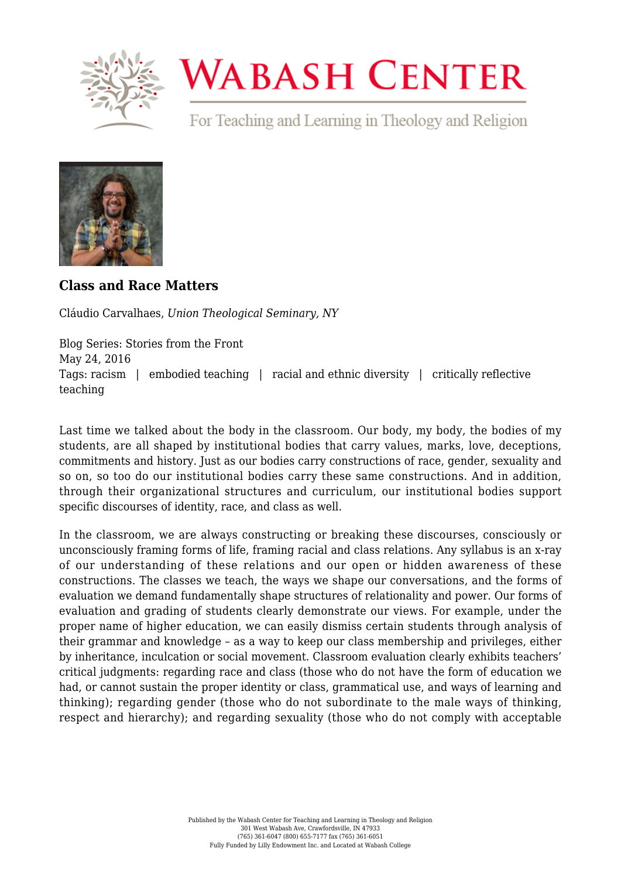

## **WABASH CENTER**

For Teaching and Learning in Theology and Religion



**[Class and Race Matters](https://www.wabashcenter.wabash.edu/2016/05/class-and-race-matters/)**

Cláudio Carvalhaes, *Union Theological Seminary, NY*

Blog Series: Stories from the Front May 24, 2016 Tags: racism | embodied teaching | racial and ethnic diversity | critically reflective teaching

Last time we talked about the body in the classroom. Our body, my body, the bodies of my students, are all shaped by institutional bodies that carry values, marks, love, deceptions, commitments and history. Just as our bodies carry constructions of race, gender, sexuality and so on, so too do our institutional bodies carry these same constructions. And in addition, through their organizational structures and curriculum, our institutional bodies support specific discourses of identity, race, and class as well.

In the classroom, we are always constructing or breaking these discourses, consciously or unconsciously framing forms of life, framing racial and class relations. Any syllabus is an x-ray of our understanding of these relations and our open or hidden awareness of these constructions. The classes we teach, the ways we shape our conversations, and the forms of evaluation we demand fundamentally shape structures of relationality and power. Our forms of evaluation and grading of students clearly demonstrate our views. For example, under the proper name of higher education, we can easily dismiss certain students through analysis of their grammar and knowledge – as a way to keep our class membership and privileges, either by inheritance, inculcation or social movement. Classroom evaluation clearly exhibits teachers' critical judgments: regarding race and class (those who do not have the form of education we had, or cannot sustain the proper identity or class, grammatical use, and ways of learning and thinking); regarding gender (those who do not subordinate to the male ways of thinking, respect and hierarchy); and regarding sexuality (those who do not comply with acceptable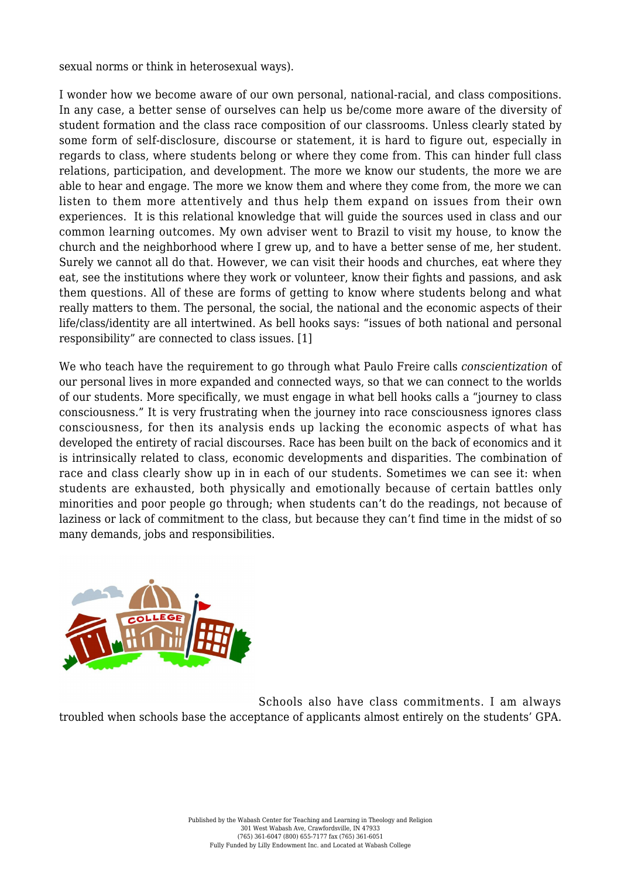sexual norms or think in heterosexual ways).

I wonder how we become aware of our own personal, national-racial, and class compositions. In any case, a better sense of ourselves can help us be/come more aware of the diversity of student formation and the class race composition of our classrooms. Unless clearly stated by some form of self-disclosure, discourse or statement, it is hard to figure out, especially in regards to class, where students belong or where they come from. This can hinder full class relations, participation, and development. The more we know our students, the more we are able to hear and engage. The more we know them and where they come from, the more we can listen to them more attentively and thus help them expand on issues from their own experiences. It is this relational knowledge that will guide the sources used in class and our common learning outcomes. My own adviser went to Brazil to visit my house, to know the church and the neighborhood where I grew up, and to have a better sense of me, her student. Surely we cannot all do that. However, we can visit their hoods and churches, eat where they eat, see the institutions where they work or volunteer, know their fights and passions, and ask them questions. All of these are forms of getting to know where students belong and what really matters to them. The personal, the social, the national and the economic aspects of their life/class/identity are all intertwined. As bell hooks says: "issues of both national and personal responsibility" are connected to class issues. [\[1\]](#page-3-0)

<span id="page-1-0"></span>We who teach have the requirement to go through what Paulo Freire calls *conscientization* of our personal lives in more expanded and connected ways, so that we can connect to the worlds of our students. More specifically, we must engage in what bell hooks calls a "journey to class consciousness." It is very frustrating when the journey into race consciousness ignores class consciousness, for then its analysis ends up lacking the economic aspects of what has developed the entirety of racial discourses. Race has been built on the back of economics and it is intrinsically related to class, economic developments and disparities. The combination of race and class clearly show up in in each of our students. Sometimes we can see it: when students are exhausted, both physically and emotionally because of certain battles only minorities and poor people go through; when students can't do the readings, not because of laziness or lack of commitment to the class, but because they can't find time in the midst of so many demands, jobs and responsibilities.



Schools also have class commitments. I am always troubled when schools base the acceptance of applicants almost entirely on the students' GPA.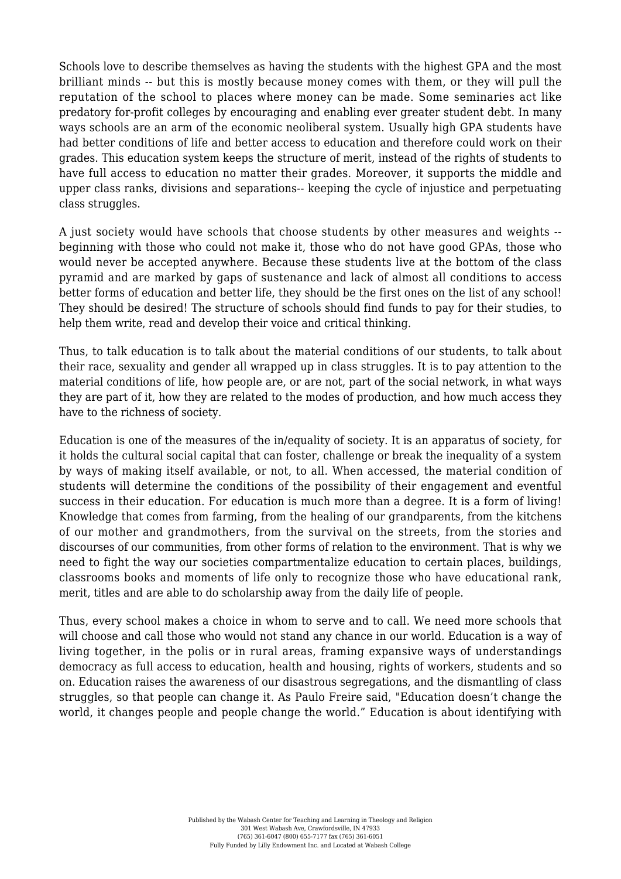Schools love to describe themselves as having the students with the highest GPA and the most brilliant minds -- but this is mostly because money comes with them, or they will pull the reputation of the school to places where money can be made. Some seminaries act like predatory for-profit colleges by encouraging and enabling ever greater student debt. In many ways schools are an arm of the economic neoliberal system. Usually high GPA students have had better conditions of life and better access to education and therefore could work on their grades. This education system keeps the structure of merit, instead of the rights of students to have full access to education no matter their grades. Moreover, it supports the middle and upper class ranks, divisions and separations-- keeping the cycle of injustice and perpetuating class struggles.

A just society would have schools that choose students by other measures and weights - beginning with those who could not make it, those who do not have good GPAs, those who would never be accepted anywhere. Because these students live at the bottom of the class pyramid and are marked by gaps of sustenance and lack of almost all conditions to access better forms of education and better life, they should be the first ones on the list of any school! They should be desired! The structure of schools should find funds to pay for their studies, to help them write, read and develop their voice and critical thinking.

Thus, to talk education is to talk about the material conditions of our students, to talk about their race, sexuality and gender all wrapped up in class struggles. It is to pay attention to the material conditions of life, how people are, or are not, part of the social network, in what ways they are part of it, how they are related to the modes of production, and how much access they have to the richness of society.

Education is one of the measures of the in/equality of society. It is an apparatus of society, for it holds the cultural social capital that can foster, challenge or break the inequality of a system by ways of making itself available, or not, to all. When accessed, the material condition of students will determine the conditions of the possibility of their engagement and eventful success in their education. For education is much more than a degree. It is a form of living! Knowledge that comes from farming, from the healing of our grandparents, from the kitchens of our mother and grandmothers, from the survival on the streets, from the stories and discourses of our communities, from other forms of relation to the environment. That is why we need to fight the way our societies compartmentalize education to certain places, buildings, classrooms books and moments of life only to recognize those who have educational rank, merit, titles and are able to do scholarship away from the daily life of people.

Thus, every school makes a choice in whom to serve and to call. We need more schools that will choose and call those who would not stand any chance in our world. Education is a way of living together, in the polis or in rural areas, framing expansive ways of understandings democracy as full access to education, health and housing, rights of workers, students and so on. Education raises the awareness of our disastrous segregations, and the dismantling of class struggles, so that people can change it. As Paulo Freire said, "Education doesn't change the world, it changes people and people change the world." Education is about identifying with